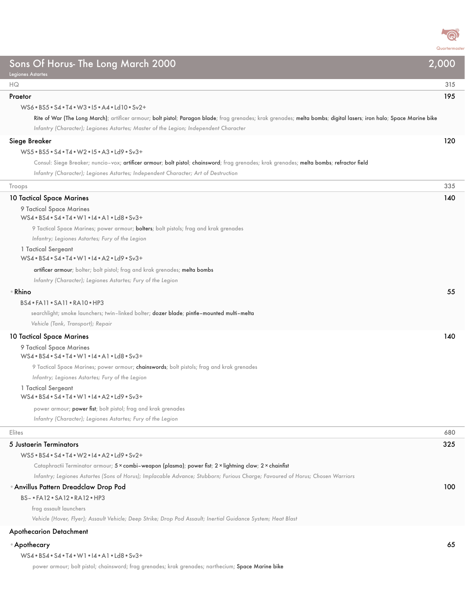

| Sons Of Horus- The Long March 2000<br><b>Legiones Astartes</b>                                                                                                                                                                                              | 2,000 |
|-------------------------------------------------------------------------------------------------------------------------------------------------------------------------------------------------------------------------------------------------------------|-------|
| ΗQ                                                                                                                                                                                                                                                          | 315   |
| Praetor                                                                                                                                                                                                                                                     | 195   |
| WS6 . BS5 . S4 . T4 . W3 . 15 . A4 . Ld10 . Sv2 +                                                                                                                                                                                                           |       |
| Rite of War (The Long March); artificer armour; bolt pistol; Paragon blade; frag grenades; krak grenades; melta bombs; digital lasers; iron halo; Space Marine bike<br>Infantry (Character); Legiones Astartes; Master of the Legion; Independent Character |       |
| Siege Breaker                                                                                                                                                                                                                                               | 120   |
| $WS5 \cdot BS5 \cdot S4 \cdot T4 \cdot W2 \cdot 15 \cdot A3 \cdot Ld9 \cdot Sv3+$                                                                                                                                                                           |       |
| Consul: Siege Breaker; nuncio-vox; artificer armour; bolt pistol; chainsword; frag grenades; krak grenades; melta bombs; refractor field                                                                                                                    |       |
| Infantry (Character); Legiones Astartes; Independent Character; Art of Destruction                                                                                                                                                                          |       |
| Troops                                                                                                                                                                                                                                                      | 335   |
| 10 Tactical Space Marines                                                                                                                                                                                                                                   | 140   |
| 9 Tactical Space Marines                                                                                                                                                                                                                                    |       |
| WS4 . BS4 . S4 . T4 . W1 . I4 . A1 . Ld8 . Sv3+                                                                                                                                                                                                             |       |
| 9 Tactical Space Marines; power armour; <b>bolters</b> ; bolt pistols; frag and krak grenades                                                                                                                                                               |       |
| Infantry; Legiones Astartes; Fury of the Legion                                                                                                                                                                                                             |       |
| 1 Tactical Sergeant<br>$WS4 \cdot BS4 \cdot S4 \cdot T4 \cdot W1 \cdot 14 \cdot A2 \cdot Ld9 \cdot Sv3+$                                                                                                                                                    |       |
| artificer armour; bolter; bolt pistol; frag and krak grenades; melta bombs                                                                                                                                                                                  |       |
| Infantry (Character); Legiones Astartes; Fury of the Legion                                                                                                                                                                                                 |       |
| ⊕ Rhino                                                                                                                                                                                                                                                     | 55    |
| BS4 · FA11 · SA11 · RA10 · HP3                                                                                                                                                                                                                              |       |
| searchlight; smoke launchers; twin-linked bolter; dozer blade; pintle-mounted multi-melta                                                                                                                                                                   |       |
| Vehicle (Tank, Transport); Repair                                                                                                                                                                                                                           |       |
| <b>10 Tactical Space Marines</b>                                                                                                                                                                                                                            | 140   |
| 9 Tactical Space Marines                                                                                                                                                                                                                                    |       |
| WS4 . BS4 . S4 . T4 . W1 . I4 . A1 . Ld8 . Sv3+                                                                                                                                                                                                             |       |
| 9 Tactical Space Marines; power armour; chainswords; bolt pistols; frag and krak grenades                                                                                                                                                                   |       |
| Infantry; Legiones Astartes; Fury of the Legion                                                                                                                                                                                                             |       |
| 1 Tactical Sergeant<br>WS4 . BS4 . S4 . T4 . W1 . I4 . A2 . Ld9 . Sv3+                                                                                                                                                                                      |       |
|                                                                                                                                                                                                                                                             |       |
| power armour; power fist; bolt pistol; frag and krak grenades                                                                                                                                                                                               |       |
| Infantry (Character); Legiones Astartes; Fury of the Legion                                                                                                                                                                                                 |       |
| Elites                                                                                                                                                                                                                                                      | 680   |
| 5 Justaerin Terminators                                                                                                                                                                                                                                     | 325   |
| WS5 . BS4 . S4 . T4 . W2 . I4 . A2 . Ld9 . Sv2+                                                                                                                                                                                                             |       |
| Cataphractii Terminator armour; 5 x combi-weapon (plasma); power fist; 2 x lightning claw; 2 x chainfist                                                                                                                                                    |       |
| Infantry; Legiones Astartes (Sons of Horus); Implacable Advance; Stubborn; Furious Charge; Favoured of Horus; Chosen Warriors                                                                                                                               |       |
| <b>Anvillus Pattern Dreadclaw Drop Pod</b>                                                                                                                                                                                                                  | 100   |
| BS- . FA12 . SA12 . RA12 . HP3                                                                                                                                                                                                                              |       |
| frag assault launchers                                                                                                                                                                                                                                      |       |
| Vehicle (Hover, Flyer); Assault Vehicle; Deep Strike; Drop Pod Assault; Inertial Guidance System; Heat Blast                                                                                                                                                |       |
| <b>Apothecarion Detachment</b>                                                                                                                                                                                                                              |       |
| ∙ Apothecary                                                                                                                                                                                                                                                | 65    |

| WS4 • BS4 • S4 • T4 • W1 • I4 • A1 • Ld8 • Sv3+ |  |
|-------------------------------------------------|--|
|-------------------------------------------------|--|

power armour; bolt pistol; chainsword; frag grenades; krak grenades; narthecium; Space Marine bike